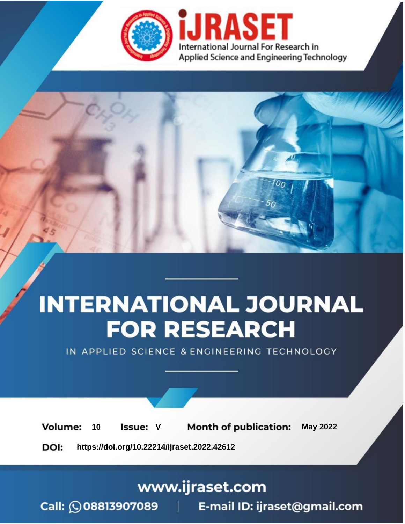

# **INTERNATIONAL JOURNAL FOR RESEARCH**

IN APPLIED SCIENCE & ENGINEERING TECHNOLOGY

Volume: **Month of publication: May 2022** 10 **Issue: V** 

DOI: https://doi.org/10.22214/ijraset.2022.42612

www.ijraset.com

Call: 008813907089 | E-mail ID: ijraset@gmail.com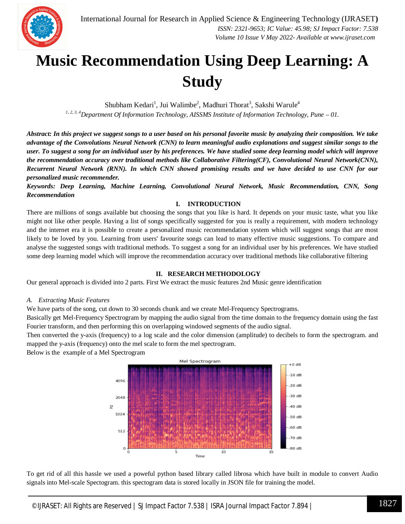

### **Music Recommendation Using Deep Learning: A Study**

Shubham Kedari<sup>1</sup>, Jui Walimbe<sup>2</sup>, Madhuri Thorat<sup>3</sup>, Sakshi Warule<sup>4</sup> *1, 2, 3, 4Department Of Information Technology, AISSMS Institute of Information Technology, Pune – 01.*

*Abstract: In this project we suggest songs to a user based on his personal favorite music by analyzing their composition. We take advantage of the Convolutions Neural Network (CNN) to learn meaningful audio explanations and suggest similar songs to the user. To suggest a song for an individual user by his preferences. We have studied some deep learning model which will improve the recommendation accuracy over traditional methods like Collaborative Filtering(CF), Convolutional Neural Network(CNN), Recurrent Neural Network (RNN). In which CNN showed promising results and we have decided to use CNN for our personalized music recommender.*

*Keywords: Deep Learning, Machine Learning, Convolutional Neural Network, Music Recommendation, CNN, Song Recommendation*

#### **I. INTRODUCTION**

There are millions of songs available but choosing the songs that you like is hard. It depends on your music taste, what you like might not like other people. Having a list of songs specifically suggested for you is really a requirement, with modern technology and the internet era it is possible to create a personalized music recommendation system which will suggest songs that are most likely to be loved by you. Learning from users' favourite songs can lead to many effective music suggestions. To compare and analyse the suggested songs with traditional methods. To suggest a song for an individual user by his preferences. We have studied some deep learning model which will improve the recommendation accuracy over traditional methods like collaborative filtering

#### **II. RESEARCH METHODOLOGY**

Our general approach is divided into 2 parts. First We extract the music features 2nd Music genre identification

#### *A. Extracting Music Features*

We have parts of the song, cut down to 30 seconds chunk and we create Mel-Frequency Spectrograms.

Basically get Mel-Frequency Spectrogram by mapping the audio signal from the time domain to the frequency domain using the fast Fourier transform, and then performing this on overlapping windowed segments of the audio signal.

Then converted the y-axis (frequency) to a log scale and the color dimension (amplitude) to decibels to form the spectrogram. and mapped the y-axis (frequency) onto the mel scale to form the mel spectrogram.

Below is the example of a Mel Spectrogram



To get rid of all this hassle we used a poweful python based library called librosa which have built in module to convert Audio signals into Mel-scale Spectogram. this spectogram data is stored locally in JSON file for training the model.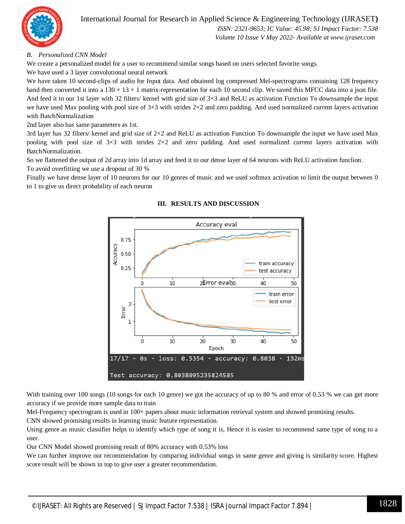

#### International Journal for Research in Applied Science & Engineering Technology (IJRASET**)**

 *ISSN: 2321-9653; IC Value: 45.98; SJ Impact Factor: 7.538 Volume 10 Issue V May 2022- Available at www.ijraset.com*

#### *B. Personalized CNN Model*

We create a personalized model for a user to recommend similar songs based on users selected favorite songs. We have used a 3 layer convolutional neural network

We have taken 10 second-clips of audio for Input data. And obtained log compressed Mel-spectrograms containing 128 frequency band then converted it into a  $130 \times 13 \times 1$  matrix-representation for each 10 second clip. We saved this MFCC data into a json file. And feed it to our 1st layer with 32 filters/ kernel with grid size of  $3\times3$  and ReLU as activation Function To downsample the input we have used Max pooling with pool size of  $3\times3$  with strides  $2\times2$  and zero padding. And used normalized current layers activation with BatchNormalization

2nd layer also has same parameters as 1st.

3rd layer has 32 filters/ kernel and grid size of 2×2 and ReLU as activation Function To downsample the input we have used Max pooling with pool size of  $3\times3$  with strides  $2\times2$  and zero padding. And used normalized current layers activation with BatchNormalization.

So we flattened the output of 2d array into 1d array and feed it to our dense layer of 64 neurons with ReLU activation funclion. To avoid overfitting we use a dropout of 30 %

Finally we have dense layer of 10 neurons for our 10 genres of music and we used softmax activation to limit the output between 0 to 1 to give us direct probability of each neuron



#### **III. RESULTS AND DISCUSSION**

With training over 100 songs (10 songs for each 10 genre) we got the accuracy of up to 80 % and error of 0.53 % we can get more accuracy if we provide more sample data to train

Mel-Frequency spectrogram is used in 100+ papers about music information retrieval system and showed promising results. CNN showed promising results in learning music feature representation.

Using genre as music classifier helps to identify which type of song it is, Hence it is easier to recommend same type of song to a user.

Our CNN Model showed promising result of 80% accuracy with 0.53% loss

We can further improve our recommendation by comparing individual songs in same genre and giving is similarity score. Highest score result will be shown in top to give user a greater recommendation.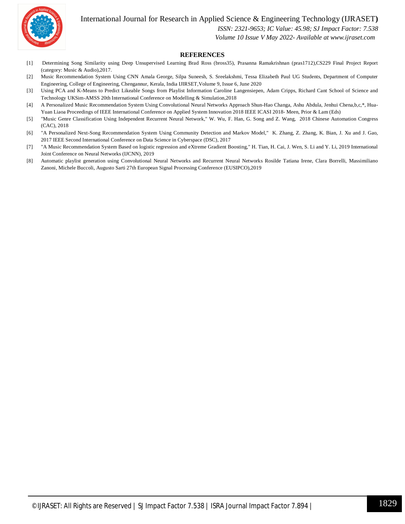

#### International Journal for Research in Applied Science & Engineering Technology (IJRASET**)**

 *ISSN: 2321-9653; IC Value: 45.98; SJ Impact Factor: 7.538*

 *Volume 10 Issue V May 2022- Available at www.ijraset.com*

#### **REFERENCES**

- [1] Determining Song Similarity using Deep Unsupervised Learning Brad Ross (bross35), Prasanna Ramakrishnan (pras1712),CS229 Final Project Report (category: Music & Audio),2017.
- [2] Music Recommendation System Using CNN Amala George, Silpa Suneesh, S. Sreelakshmi, Tessa Elizabeth Paul UG Students, Department of Computer Engineering, College of Engineering, Chengannur, Kerala, India IJIRSET,Volume 9, Issue 6, June 2020
- [3] Using PCA and K-Means to Predict Likeable Songs from Playlist Information Caroline Langensiepen, Adam Cripps, Richard Cant School of Science and Technology UKSim-AMSS 20th International Conference on Modelling & Simulation,2018
- [4] A Personalized Music Recommendation System Using Convolutional Neural Networks Approach Shun-Hao Changa, Ashu Abdula, Jenhui Chena,b,c,\*, Hua-Yuan Liaoa Proceedings of IEEE International Conference on Applied System Innovation 2018 IEEE ICASI 2018- Meen, Prior & Lam (Eds)
- [5] "Music Genre Classification Using Independent Recurrent Neural Network," W. Wu, F. Han, G. Song and Z. Wang, 2018 Chinese Automation Congress (CAC), 2018
- [6] "A Personalized Next-Song Recommendation System Using Community Detection and Markov Model," K. Zhang, Z. Zhang, K. Bian, J. Xu and J. Gao, 2017 IEEE Second International Conference on Data Science in Cyberspace (DSC), 2017
- [7] "A Music Recommendation System Based on logistic regression and eXtreme Gradient Boosting," H. Tian, H. Cai, J. Wen, S. Li and Y. Li, 2019 International Joint Conference on Neural Networks (IJCNN), 2019
- [8] Automatic playlist generation using Convolutional Neural Networks and Recurrent Neural Networks Rosilde Tatiana Irene, Clara Borrelli, Massimiliano Zanoni, Michele Buccoli, Augusto Sarti 27th European Signal Processing Conference (EUSIPCO),2019